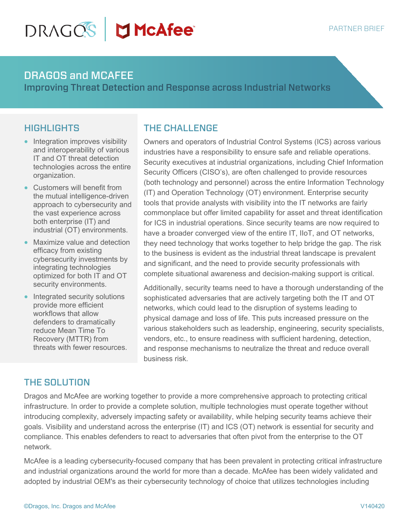# DRAGOS **McAfee**

#### DRAGOS and MCAFEE

Improving Threat Detection and Response across Industrial Networks

#### **HIGHLIGHTS**

- Integration improves visibility and interoperability of various IT and OT threat detection technologies across the entire organization.
- Customers will benefit from the mutual intelligence-driven approach to cybersecurity and the vast experience across both enterprise (IT) and industrial (OT) environments.
- Maximize value and detection efficacy from existing cybersecurity investments by integrating technologies optimized for both IT and OT security environments.
- Integrated security solutions provide more efficient workflows that allow defenders to dramatically reduce Mean Time To Recovery (MTTR) from threats with fewer resources.

## THE CHALLENGE

Owners and operators of Industrial Control Systems (ICS) across various industries have a responsibility to ensure safe and reliable operations. Security executives at industrial organizations, including Chief Information Security Officers (CISO's), are often challenged to provide resources (both technology and personnel) across the entire Information Technology (IT) and Operation Technology (OT) environment. Enterprise security tools that provide analysts with visibility into the IT networks are fairly commonplace but offer limited capability for asset and threat identification for ICS in industrial operations. Since security teams are now required to have a broader converged view of the entire IT, IIoT, and OT networks, they need technology that works together to help bridge the gap. The risk to the business is evident as the industrial threat landscape is prevalent and significant, and the need to provide security professionals with complete situational awareness and decision-making support is critical.

Additionally, security teams need to have a thorough understanding of the sophisticated adversaries that are actively targeting both the IT and OT networks, which could lead to the disruption of systems leading to physical damage and loss of life. This puts increased pressure on the various stakeholders such as leadership, engineering, security specialists, vendors, etc., to ensure readiness with sufficient hardening, detection, and response mechanisms to neutralize the threat and reduce overall business risk.

## THE SOLUTION

Dragos and McAfee are working together to provide a more comprehensive approach to protecting critical infrastructure. In order to provide a complete solution, multiple technologies must operate together without introducing complexity, adversely impacting safety or availability, while helping security teams achieve their goals. Visibility and understand across the enterprise (IT) and ICS (OT) network is essential for security and compliance. This enables defenders to react to adversaries that often pivot from the enterprise to the OT network.

McAfee is a leading cybersecurity-focused company that has been prevalent in protecting critical infrastructure and industrial organizations around the world for more than a decade. McAfee has been widely validated and adopted by industrial OEM's as their cybersecurity technology of choice that utilizes technologies including